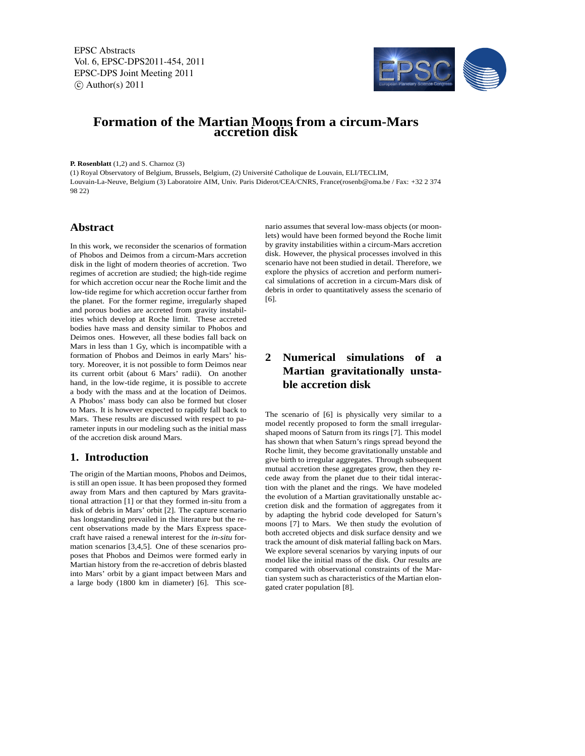EPSC Abstracts Vol. 6, EPSC-DPS2011-454, 2011 EPSC-DPS Joint Meeting 2011  $\circ$  Author(s) 2011



# **Formation of the Martian Moons from a circum-Mars accretion disk**

**P. Rosenblatt** (1,2) and S. Charnoz (3)

(1) Royal Observatory of Belgium, Brussels, Belgium, (2) Université Catholique de Louvain, ELI/TECLIM, Louvain-La-Neuve, Belgium (3) Laboratoire AIM, Univ. Paris Diderot/CEA/CNRS, France(rosenb@oma.be / Fax: +32 2 374 98 22)

### **Abstract**

In this work, we reconsider the scenarios of formation of Phobos and Deimos from a circum-Mars accretion disk in the light of modern theories of accretion. Two regimes of accretion are studied; the high-tide regime for which accretion occur near the Roche limit and the low-tide regime for which accretion occur farther from the planet. For the former regime, irregularly shaped and porous bodies are accreted from gravity instabilities which develop at Roche limit. These accreted bodies have mass and density similar to Phobos and Deimos ones. However, all these bodies fall back on Mars in less than 1 Gy, which is incompatible with a formation of Phobos and Deimos in early Mars' history. Moreover, it is not possible to form Deimos near its current orbit (about 6 Mars' radii). On another hand, in the low-tide regime, it is possible to accrete a body with the mass and at the location of Deimos. A Phobos' mass body can also be formed but closer to Mars. It is however expected to rapidly fall back to Mars. These results are discussed with respect to parameter inputs in our modeling such as the initial mass of the accretion disk around Mars.

#### **1. Introduction**

The origin of the Martian moons, Phobos and Deimos, is still an open issue. It has been proposed they formed away from Mars and then captured by Mars gravitational attraction [1] or that they formed in-situ from a disk of debris in Mars' orbit [2]. The capture scenario has longstanding prevailed in the literature but the recent observations made by the Mars Express spacecraft have raised a renewal interest for the *in-situ* formation scenarios [3,4,5]. One of these scenarios proposes that Phobos and Deimos were formed early in Martian history from the re-accretion of debris blasted into Mars' orbit by a giant impact between Mars and a large body (1800 km in diameter) [6]. This scenario assumes that several low-mass objects (or moonlets) would have been formed beyond the Roche limit by gravity instabilities within a circum-Mars accretion disk. However, the physical processes involved in this scenario have not been studied in detail. Therefore, we explore the physics of accretion and perform numerical simulations of accretion in a circum-Mars disk of debris in order to quantitatively assess the scenario of [6].

# **2 Numerical simulations of a Martian gravitationally unstable accretion disk**

The scenario of [6] is physically very similar to a model recently proposed to form the small irregularshaped moons of Saturn from its rings [7]. This model has shown that when Saturn's rings spread beyond the Roche limit, they become gravitationally unstable and give birth to irregular aggregates. Through subsequent mutual accretion these aggregates grow, then they recede away from the planet due to their tidal interaction with the planet and the rings. We have modeled the evolution of a Martian gravitationally unstable accretion disk and the formation of aggregates from it by adapting the hybrid code developed for Saturn's moons [7] to Mars. We then study the evolution of both accreted objects and disk surface density and we track the amount of disk material falling back on Mars. We explore several scenarios by varying inputs of our model like the initial mass of the disk. Our results are compared with observational constraints of the Martian system such as characteristics of the Martian elongated crater population [8].